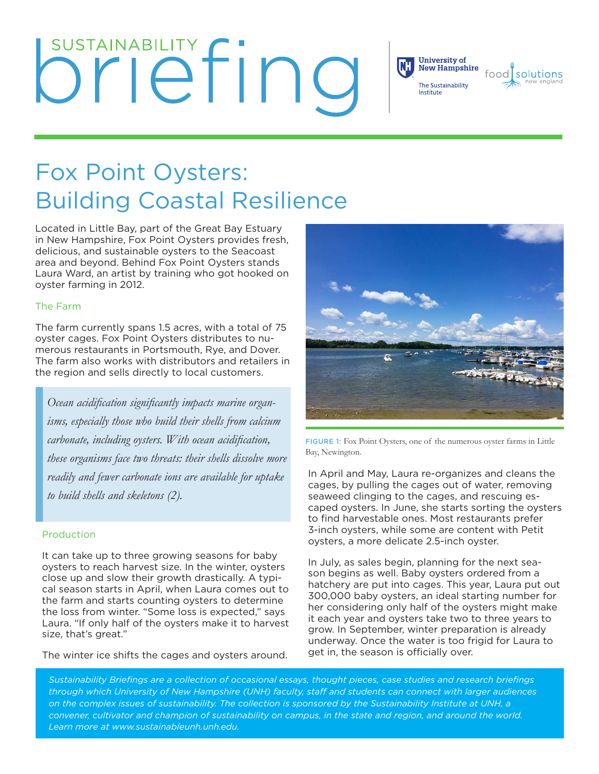# **SUSTAINABILITY FINQ**



## Fox Point Oysters: Building Coastal Resilience

Located in Little Bay, part of the Great Bay Estuary in New Hampshire, Fox Point Oysters provides fresh, delicious, and sustainable oysters to the Seacoast area and beyond. Behind Fox Point Oysters stands Laura Ward, an artist by training who got hooked on oyster farming in 2012.

#### The Farm

The farm currently spans 1.5 acres, with a total of 75 oyster cages. Fox Point Oysters distributes to numerous restaurants in Portsmouth, Rye, and Dover. The farm also works with distributors and retailers in the region and sells directly to local customers.

*Ocean acidifcation signifcantly impacts marine organisms, especially those who build their shells from calcium carbonate, including oysters. With ocean acidification, these organisms face two threats: their shells dissolve more readily and fewer carbonate ions are available for uptake to build shells and skeletons (2).*

#### Production

It can take up to three growing seasons for baby oysters to reach harvest size. In the winter, oysters close up and slow their growth drastically. A typical season starts in April, when Laura comes out to the farm and starts counting oysters to determine the loss from winter. "Some loss is expected," says Laura. "If only half of the oysters make it to harvest size, that's great."

The winter ice shifts the cages and oysters around.



FIGURE 1: Fox Point Oysters, one of the numerous oyster farms in Little Bay, Newington.

In April and May, Laura re-organizes and cleans the cages, by pulling the cages out of water, removing seaweed clinging to the cages, and rescuing escaped oysters. In June, she starts sorting the oysters to find harvestable ones. Most restaurants prefer 3-inch oysters, while some are content with Petit oysters, a more delicate 2.5-inch oyster.

In July, as sales begin, planning for the next season begins as well. Baby oysters ordered from a hatchery are put into cages. This year, Laura put out 300,000 baby oysters, an ideal starting number for her considering only half of the oysters might make it each year and oysters take two to three years to grow. In September, winter preparation is already underway. Once the water is too frigid for Laura to get in, the season is officially over.

*Sustainability Briefings are a collection of occasional essays, thought pieces, case studies and research briefings through which University of New Hampshire (UNH) faculty, staf and students can connect with larger audiences on the complex issues of sustainability. The collection is sponsored by the Sustainability Institute at UNH, a*  convener, cultivator and champion of sustainability on campus, in the state and region, and around the world. *Learn more at www.sustainableunh.unh.edu.*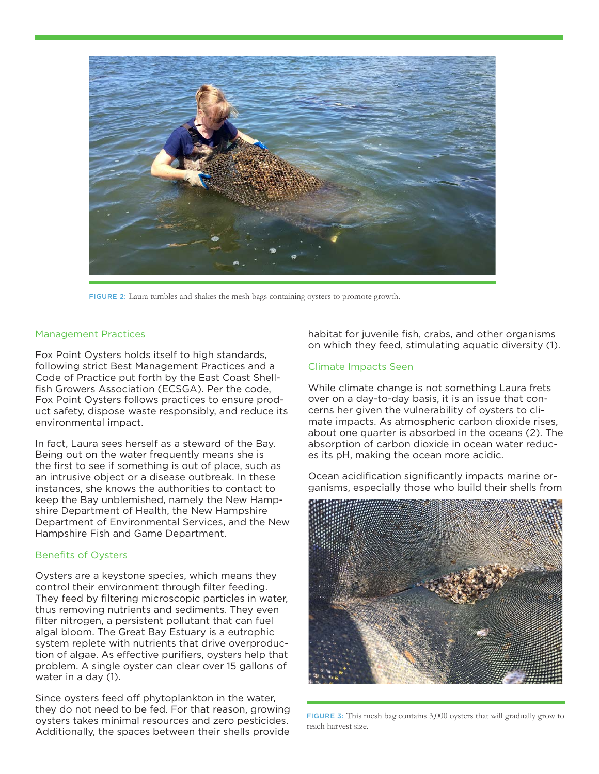

FIGURE 2: Laura tumbles and shakes the mesh bags containing oysters to promote growth.

#### Management Practices

Fox Point Oysters holds itself to high standards, following strict Best Management Practices and a Code of Practice put forth by the East Coast Shellfish Growers Association (ECSGA). Per the code, Fox Point Oysters follows practices to ensure product safety, dispose waste responsibly, and reduce its environmental impact.

In fact, Laura sees herself as a steward of the Bay. Being out on the water frequently means she is the first to see if something is out of place, such as an intrusive object or a disease outbreak. In these instances, she knows the authorities to contact to keep the Bay unblemished, namely the New Hampshire Department of Health, the New Hampshire Department of Environmental Services, and the New Hampshire Fish and Game Department.

#### Benefits of Oysters

Oysters are a keystone species, which means they control their environment through filter feeding. They feed by filtering microscopic particles in water, thus removing nutrients and sediments. They even filter nitrogen, a persistent pollutant that can fuel algal bloom. The Great Bay Estuary is a eutrophic system replete with nutrients that drive overproduction of algae. As effective purifiers, oysters help that problem. A single oyster can clear over 15 gallons of water in a day (1).

Since oysters feed off phytoplankton in the water, they do not need to be fed. For that reason, growing oysters takes minimal resources and zero pesticides. Additionally, the spaces between their shells provide

habitat for juvenile fish, crabs, and other organisms on which they feed, stimulating aquatic diversity (1).

#### Climate Impacts Seen

While climate change is not something Laura frets over on a day-to-day basis, it is an issue that concerns her given the vulnerability of oysters to climate impacts. As atmospheric carbon dioxide rises, about one quarter is absorbed in the oceans (2). The absorption of carbon dioxide in ocean water reduces its pH, making the ocean more acidic.

Ocean acidification significantly impacts marine organisms, especially those who build their shells from



FIGURE 3: This mesh bag contains 3,000 oysters that will gradually grow to reach harvest size.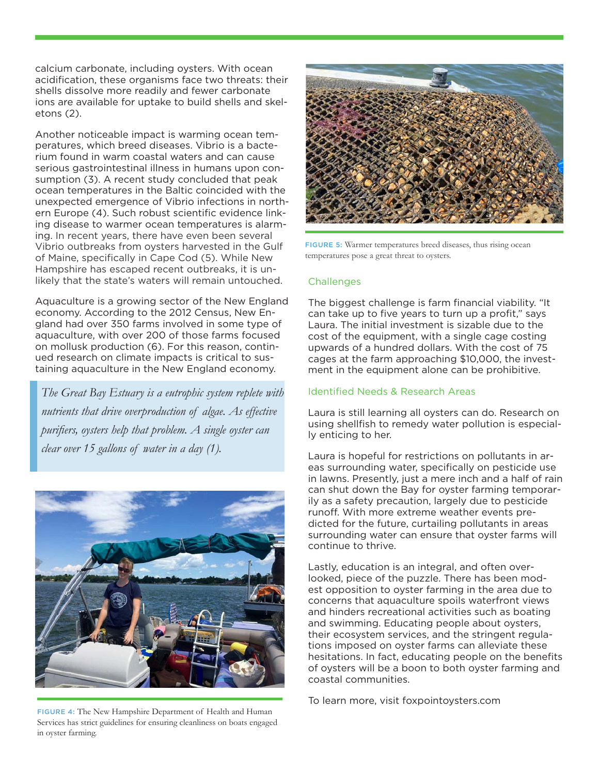calcium carbonate, including oysters. With ocean acidification, these organisms face two threats: their shells dissolve more readily and fewer carbonate ions are available for uptake to build shells and skeletons (2).

Another noticeable impact is warming ocean temperatures, which breed diseases. Vibrio is a bacterium found in warm coastal waters and can cause serious gastrointestinal illness in humans upon consumption (3). A recent study concluded that peak ocean temperatures in the Baltic coincided with the unexpected emergence of Vibrio infections in northern Europe (4). Such robust scientific evidence linking disease to warmer ocean temperatures is alarming. In recent years, there have even been several Vibrio outbreaks from oysters harvested in the Gulf of Maine, specifically in Cape Cod (5). While New Hampshire has escaped recent outbreaks, it is unlikely that the state's waters will remain untouched.

Aquaculture is a growing sector of the New England economy. According to the 2012 Census, New England had over 350 farms involved in some type of aquaculture, with over 200 of those farms focused on mollusk production (6). For this reason, continued research on climate impacts is critical to sustaining aquaculture in the New England economy.

*The Great Bay Estuary is a eutrophic system replete with nutrients that drive overproduction of algae. As effective purifers, oysters help that problem. A single oyster can clear over 15 gallons of water in a day (1).*



FIGURE 4: The New Hampshire Department of Health and Human Services has strict guidelines for ensuring cleanliness on boats engaged in oyster farming.



FIGURE 5: Warmer temperatures breed diseases, thus rising ocean temperatures pose a great threat to oysters.

#### **Challenges**

The biggest challenge is farm financial viability. "It can take up to five years to turn up a profit," says Laura. The initial investment is sizable due to the cost of the equipment, with a single cage costing upwards of a hundred dollars. With the cost of 75 cages at the farm approaching \$10,000, the investment in the equipment alone can be prohibitive.

#### Identified Needs & Research Areas

Laura is still learning all oysters can do. Research on using shellfish to remedy water pollution is especially enticing to her.

Laura is hopeful for restrictions on pollutants in areas surrounding water, specifically on pesticide use in lawns. Presently, just a mere inch and a half of rain can shut down the Bay for oyster farming temporarily as a safety precaution, largely due to pesticide runoff. With more extreme weather events predicted for the future, curtailing pollutants in areas surrounding water can ensure that oyster farms will continue to thrive.

Lastly, education is an integral, and often overlooked, piece of the puzzle. There has been modest opposition to oyster farming in the area due to concerns that aquaculture spoils waterfront views and hinders recreational activities such as boating and swimming. Educating people about oysters, their ecosystem services, and the stringent regulations imposed on oyster farms can alleviate these hesitations. In fact, educating people on the benefits of oysters will be a boon to both oyster farming and coastal communities.

To learn more, visit foxpointoysters.com